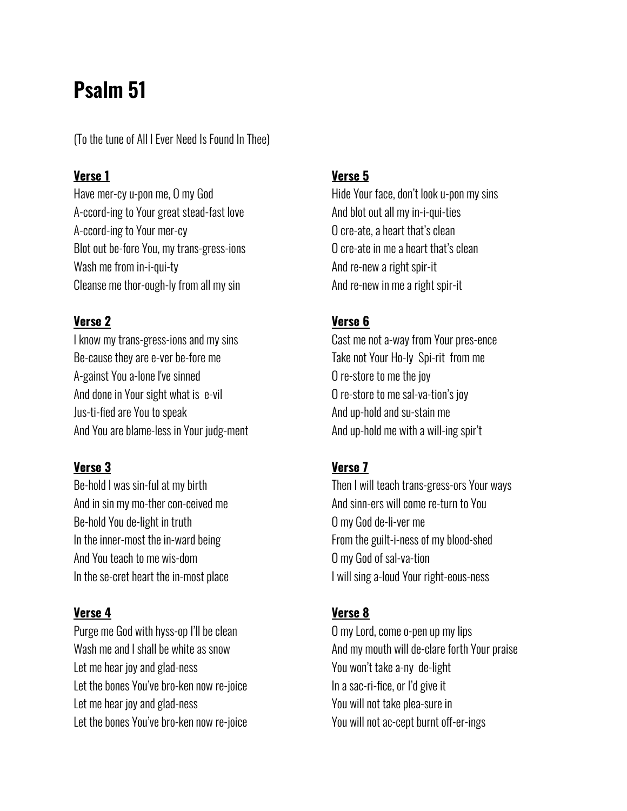# **Psalm 51**

(To the tune of All I Ever Need Is Found In Thee)

#### **Verse 1**

Have mer-cy u-pon me, O my God A-ccord-ing to Your great stead-fast love A-ccord-ing to Your mer-cy Blot out be-fore You, my trans-gress-ions Wash me from in-i-qui-ty Cleanse me thor-ough-ly from all my sin

#### **Verse 2**

I know my trans-gress-ions and my sins Be-cause they are e-ver be-fore me A-gainst You a-lone I've sinned And done in Your sight what is e-vil Jus-ti-fied are You to speak And You are blame-less in Your judg-ment

#### **Verse 3**

Be-hold I was sin-ful at my birth And in sin my mo-ther con-ceived me Be-hold You de-light in truth In the inner-most the in-ward being And You teach to me wis-dom In the se-cret heart the in-most place

## **Verse 4**

Purge me God with hyss-op I'll be clean Wash me and I shall be white as snow Let me hear joy and glad-ness Let the bones You've bro-ken now re-joice Let me hear joy and glad-ness Let the bones You've bro-ken now re-joice

#### **Verse 5**

Hide Your face, don't look u-pon my sins And blot out all my in-i-qui-ties O cre-ate, a heart that's clean O cre-ate in me a heart that's clean And re-new a right spir-it And re-new in me a right spir-it

#### **Verse 6**

Cast me not a-way from Your pres-ence Take not Your Ho-ly Spi-rit from me O re-store to me the joy O re-store to me sal-va-tion's joy And up-hold and su-stain me And up-hold me with a will-ing spir't

#### **Verse 7**

Then I will teach trans-gress-ors Your ways And sinn-ers will come re-turn to You O my God de-li-ver me From the guilt-i-ness of my blood-shed O my God of sal-va-tion I will sing a-loud Your right-eous-ness

## **Verse 8**

O my Lord, come o-pen up my lips And my mouth will de-clare forth Your praise You won't take a-ny de-light In a sac-ri-fice, or I'd give it You will not take plea-sure in You will not ac-cept burnt off-er-ings